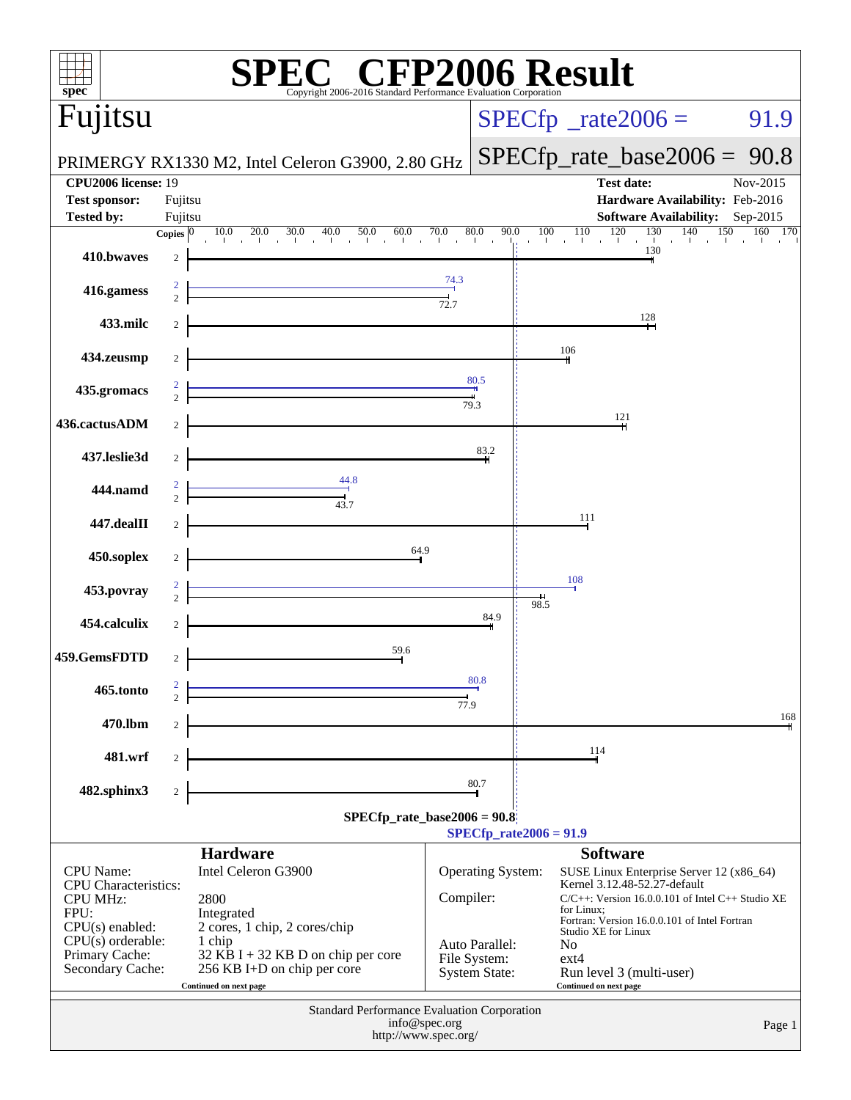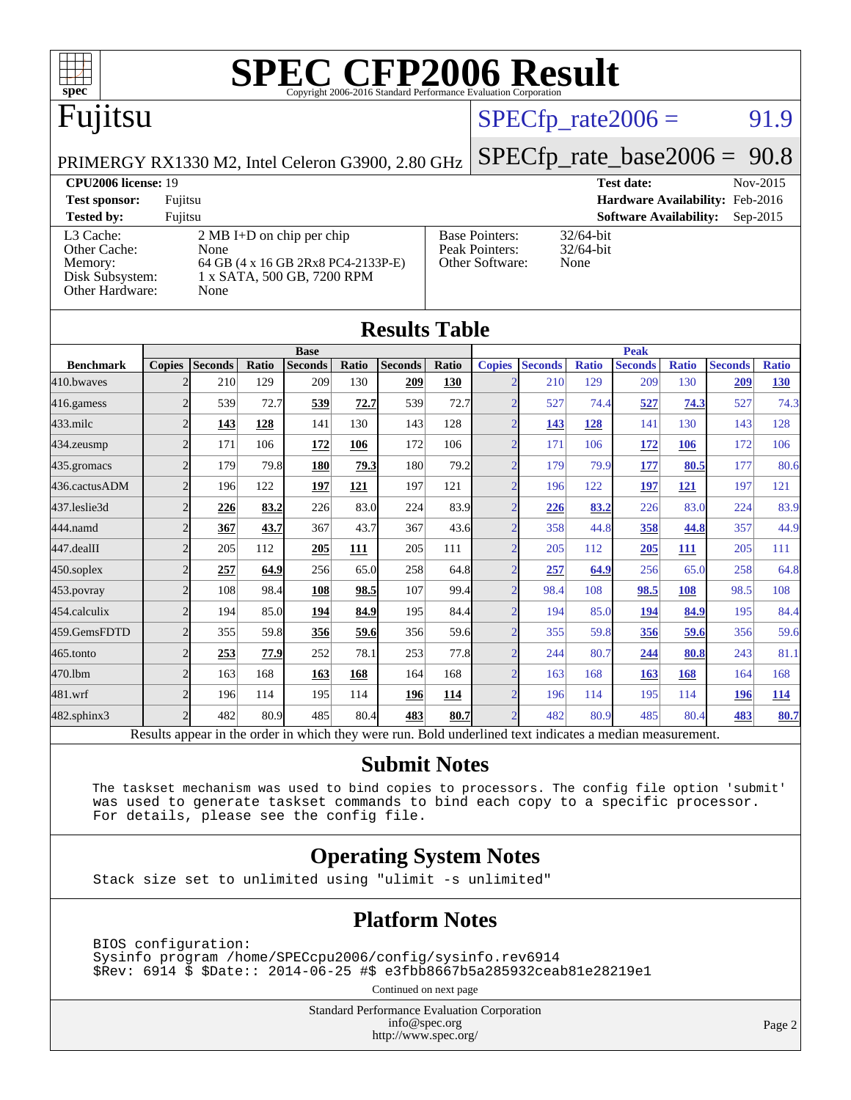

## Fujitsu

#### $SPECTp_rate2006 = 91.9$

PRIMERGY RX1330 M2, Intel Celeron G3900, 2.80 GHz

[SPECfp\\_rate\\_base2006 =](http://www.spec.org/auto/cpu2006/Docs/result-fields.html#SPECfpratebase2006) 90.8

#### **[CPU2006 license:](http://www.spec.org/auto/cpu2006/Docs/result-fields.html#CPU2006license)** 19 **[Test date:](http://www.spec.org/auto/cpu2006/Docs/result-fields.html#Testdate)** Nov-2015 **[Test sponsor:](http://www.spec.org/auto/cpu2006/Docs/result-fields.html#Testsponsor)** Fujitsu **[Hardware Availability:](http://www.spec.org/auto/cpu2006/Docs/result-fields.html#HardwareAvailability)** Feb-2016 **[Tested by:](http://www.spec.org/auto/cpu2006/Docs/result-fields.html#Testedby)** Fujitsu **[Software Availability:](http://www.spec.org/auto/cpu2006/Docs/result-fields.html#SoftwareAvailability)** Sep-2015 [L3 Cache:](http://www.spec.org/auto/cpu2006/Docs/result-fields.html#L3Cache) 2 MB I+D on chip per chip<br>Other Cache: None [Other Cache:](http://www.spec.org/auto/cpu2006/Docs/result-fields.html#OtherCache) [Memory:](http://www.spec.org/auto/cpu2006/Docs/result-fields.html#Memory) 64 GB (4 x 16 GB 2Rx8 PC4-2133P-E) [Disk Subsystem:](http://www.spec.org/auto/cpu2006/Docs/result-fields.html#DiskSubsystem) 1 x SATA, 500 GB, 7200 RPM [Other Hardware:](http://www.spec.org/auto/cpu2006/Docs/result-fields.html#OtherHardware) None [Base Pointers:](http://www.spec.org/auto/cpu2006/Docs/result-fields.html#BasePointers) 32/64-bit<br>Peak Pointers: 32/64-bit [Peak Pointers:](http://www.spec.org/auto/cpu2006/Docs/result-fields.html#PeakPointers) [Other Software:](http://www.spec.org/auto/cpu2006/Docs/result-fields.html#OtherSoftware) None

**[Results Table](http://www.spec.org/auto/cpu2006/Docs/result-fields.html#ResultsTable)**

| Results Table    |                |                                                                                                          |       |                            |       |                |       |                          |                |              |                |              |                |              |
|------------------|----------------|----------------------------------------------------------------------------------------------------------|-------|----------------------------|-------|----------------|-------|--------------------------|----------------|--------------|----------------|--------------|----------------|--------------|
|                  |                |                                                                                                          |       | <b>Base</b><br><b>Peak</b> |       |                |       |                          |                |              |                |              |                |              |
| <b>Benchmark</b> | <b>Copies</b>  | <b>Seconds</b>                                                                                           | Ratio | <b>Seconds</b>             | Ratio | <b>Seconds</b> | Ratio | <b>Copies</b>            | <b>Seconds</b> | <b>Ratio</b> | <b>Seconds</b> | <b>Ratio</b> | <b>Seconds</b> | <b>Ratio</b> |
| 410.bwayes       |                | 210                                                                                                      | 129   | 209                        | 130   | 209            | 130   |                          | 210            | 129          | 209            | 130          | 209            | <u>130</u>   |
| 416.gamess       | $\overline{2}$ | 539                                                                                                      | 72.7  | 539                        | 72.7  | 539            | 72.7  | $\mathfrak{D}$           | 527            | 74.4         | 527            | 74.3         | 527            | 74.3         |
| $433$ .milc      | $\overline{2}$ | 143                                                                                                      | 128   | 141                        | 130   | 143            | 128   | $\bigcap$                | <u>143</u>     | 128          | 141            | 130          | 143            | 128          |
| 434.zeusmp       | $\overline{2}$ | 171                                                                                                      | 106   | 172                        | 106   | 172            | 106   |                          | 171            | 106          | 172            | 106          | 172            | 106          |
| 435.gromacs      | $\overline{2}$ | 179                                                                                                      | 79.8  | 180                        | 79.3  | 180            | 79.2  | $\bigcap$                | 179            | 79.9         | 177            | 80.5         | 177            | 80.6         |
| 436.cactusADM    | $\overline{2}$ | 196                                                                                                      | 122   | 197                        | 121   | 197            | 121   | $\overline{2}$           | 196            | 122          | 197            | 121          | 197            | 121          |
| 437.leslie3d     | $\overline{2}$ | 226                                                                                                      | 83.2  | 226                        | 83.0  | 224            | 83.9  |                          | 226            | 83.2         | 226            | 83.0         | 224            | 83.9         |
| 444.namd         | $\overline{2}$ | 367                                                                                                      | 43.7  | 367                        | 43.7  | 367            | 43.6  | $\mathcal{D}$            | 358            | 44.8         | 358            | 44.8         | 357            | 44.9         |
| 447.dealII       | $\overline{2}$ | 205                                                                                                      | 112   | 205                        | 111   | 205            | 111   |                          | 205            | 112          | 205            | 111          | 205            | 111          |
| $450$ .soplex    | $\overline{2}$ | 257                                                                                                      | 64.9  | 256                        | 65.0  | 258            | 64.8  | $\gamma$                 | 257            | 64.9         | 256            | 65.0         | 258            | 64.8         |
| 453.povray       | $\overline{2}$ | 108                                                                                                      | 98.4  | 108                        | 98.5  | 107            | 99.4  | $\overline{\mathcal{L}}$ | 98.4           | 108          | 98.5           | 108          | 98.5           | 108          |
| 454.calculix     | $\overline{2}$ | 194                                                                                                      | 85.0  | 194                        | 84.9  | 195            | 84.4  | $\gamma$                 | 194            | 85.0         | 194            | 84.9         | 195            | 84.4         |
| 459.GemsFDTD     | $\overline{2}$ | 355                                                                                                      | 59.8  | 356                        | 59.6  | 356            | 59.6  |                          | 355            | 59.8         | 356            | 59.6         | 356            | 59.6         |
| 465.tonto        | $\overline{2}$ | 253                                                                                                      | 77.9  | 252                        | 78.1  | 253            | 77.8  | $\bigcap$                | 244            | 80.7         | 244            | 80.8         | 243            | 81.1         |
| 470.1bm          | $\overline{2}$ | 163                                                                                                      | 168   | 163                        | 168   | 164            | 168   | $\mathcal{D}_{\alpha}$   | 163            | 168          | 163            | 168          | 164            | 168          |
| 481.wrf          | $\overline{2}$ | 196                                                                                                      | 114   | 195                        | 114   | 196            | 114   |                          | 196            | 114          | 195            | 114          | 196            | <b>114</b>   |
| 482.sphinx3      | $\overline{2}$ | 482                                                                                                      | 80.9  | 485                        | 80.4  | 483            | 80.7  |                          | 482            | 80.9         | 485            | 80.4         | 483            | 80.7         |
|                  |                | Results appear in the order in which they were run. Bold underlined text indicates a median measurement. |       |                            |       |                |       |                          |                |              |                |              |                |              |

#### **[Submit Notes](http://www.spec.org/auto/cpu2006/Docs/result-fields.html#SubmitNotes)**

 The taskset mechanism was used to bind copies to processors. The config file option 'submit' was used to generate taskset commands to bind each copy to a specific processor. For details, please see the config file.

#### **[Operating System Notes](http://www.spec.org/auto/cpu2006/Docs/result-fields.html#OperatingSystemNotes)**

Stack size set to unlimited using "ulimit -s unlimited"

#### **[Platform Notes](http://www.spec.org/auto/cpu2006/Docs/result-fields.html#PlatformNotes)**

 BIOS configuration: Sysinfo program /home/SPECcpu2006/config/sysinfo.rev6914 \$Rev: 6914 \$ \$Date:: 2014-06-25 #\$ e3fbb8667b5a285932ceab81e28219e1

Continued on next page

Standard Performance Evaluation Corporation [info@spec.org](mailto:info@spec.org) <http://www.spec.org/>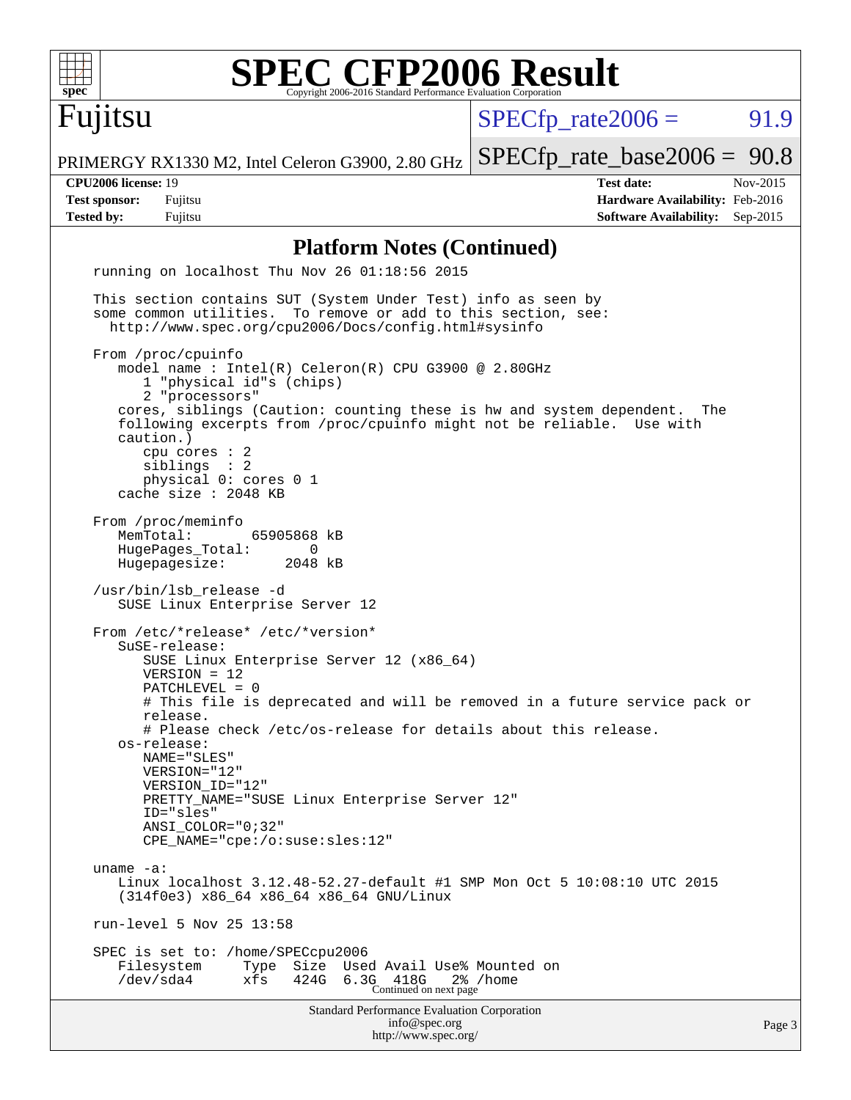| <b>SPEC CFP2006 Result</b><br>$spec^*$<br>Copyright 2006-2016 Standard Performance Evaluation Corporation                                                                                                                                                                                                                                                                                                                                           |                                                                                                            |
|-----------------------------------------------------------------------------------------------------------------------------------------------------------------------------------------------------------------------------------------------------------------------------------------------------------------------------------------------------------------------------------------------------------------------------------------------------|------------------------------------------------------------------------------------------------------------|
| Fujitsu                                                                                                                                                                                                                                                                                                                                                                                                                                             | 91.9<br>$SPECfp_{rate}2006 =$                                                                              |
| PRIMERGY RX1330 M2, Intel Celeron G3900, 2.80 GHz                                                                                                                                                                                                                                                                                                                                                                                                   | $SPECfp_rate\_base2006 = 90.8$                                                                             |
| <b>CPU2006 license: 19</b><br><b>Test sponsor:</b><br>Fujitsu<br><b>Tested by:</b><br>Fujitsu                                                                                                                                                                                                                                                                                                                                                       | <b>Test date:</b><br>Nov-2015<br>Hardware Availability: Feb-2016<br><b>Software Availability:</b> Sep-2015 |
| <b>Platform Notes (Continued)</b>                                                                                                                                                                                                                                                                                                                                                                                                                   |                                                                                                            |
| running on localhost Thu Nov 26 01:18:56 2015                                                                                                                                                                                                                                                                                                                                                                                                       |                                                                                                            |
| This section contains SUT (System Under Test) info as seen by<br>some common utilities. To remove or add to this section, see:<br>http://www.spec.org/cpu2006/Docs/config.html#sysinfo<br>From /proc/cpuinfo                                                                                                                                                                                                                                        |                                                                                                            |
| model name : Intel(R) Celeron(R) CPU G3900 @ 2.80GHz<br>1 "physical id"s (chips)<br>2 "processors"<br>cores, siblings (Caution: counting these is hw and system dependent.<br>following excerpts from /proc/cpuinfo might not be reliable. Use with<br>caution.)<br>cpu cores $: 2$<br>siblings : 2<br>physical 0: cores 0 1<br>cache size : 2048 KB                                                                                                | The                                                                                                        |
| From /proc/meminfo<br>65905868 kB<br>MemTotal:<br>HugePages_Total:<br>0<br>Hugepagesize:<br>2048 kB<br>/usr/bin/lsb_release -d                                                                                                                                                                                                                                                                                                                      |                                                                                                            |
| SUSE Linux Enterprise Server 12<br>From /etc/*release* /etc/*version*<br>SuSE-release:<br>SUSE Linux Enterprise Server 12 (x86_64)<br>$VERSION = 12$<br>PATCHLEVEL = 0<br>release.<br># Please check /etc/os-release for details about this release.<br>os-release:<br>NAME="SLES"<br>$VERSION = "12"$<br>VERSION ID="12"<br>PRETTY NAME="SUSE Linux Enterprise Server 12"<br>ID="sles"<br>ANSI_COLOR="0;32"<br>$CPE\_NAME='cpe://o:suse: sles:12"$ | # This file is deprecated and will be removed in a future service pack or                                  |
| uname $-a$ :<br>Linux localhost 3.12.48-52.27-default #1 SMP Mon Oct 5 10:08:10 UTC 2015<br>(314f0e3) x86_64 x86_64 x86_64 GNU/Linux<br>run-level 5 Nov 25 13:58<br>SPEC is set to: /home/SPECcpu2006<br>Filesystem<br>Size Used Avail Use% Mounted on<br>Type                                                                                                                                                                                      |                                                                                                            |
| $/\text{dev/sda4}$<br>424G<br>xfs<br>6.3G 418G 2%<br>Standard Performance Evaluation Corporation                                                                                                                                                                                                                                                                                                                                                    | 2% /home                                                                                                   |
|                                                                                                                                                                                                                                                                                                                                                                                                                                                     |                                                                                                            |

[info@spec.org](mailto:info@spec.org) <http://www.spec.org/> Page 3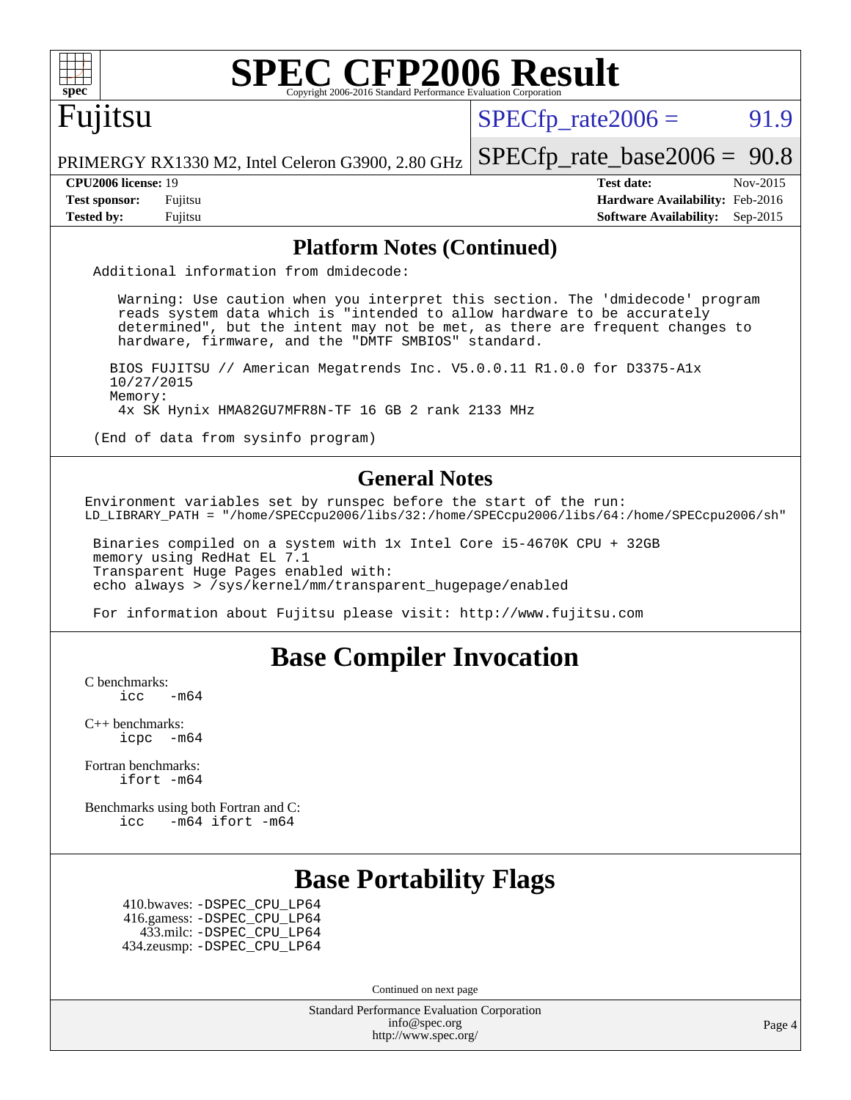## Fujitsu

 $SPECTp\_rate2006 = 91.9$ 

[SPECfp\\_rate\\_base2006 =](http://www.spec.org/auto/cpu2006/Docs/result-fields.html#SPECfpratebase2006) 90.8

PRIMERGY RX1330 M2, Intel Celeron G3900, 2.80 GHz

**[Tested by:](http://www.spec.org/auto/cpu2006/Docs/result-fields.html#Testedby)** Fujitsu **[Software Availability:](http://www.spec.org/auto/cpu2006/Docs/result-fields.html#SoftwareAvailability)** Sep-2015

**[CPU2006 license:](http://www.spec.org/auto/cpu2006/Docs/result-fields.html#CPU2006license)** 19 **[Test date:](http://www.spec.org/auto/cpu2006/Docs/result-fields.html#Testdate)** Nov-2015 **[Test sponsor:](http://www.spec.org/auto/cpu2006/Docs/result-fields.html#Testsponsor)** Fujitsu **[Hardware Availability:](http://www.spec.org/auto/cpu2006/Docs/result-fields.html#HardwareAvailability)** Feb-2016

#### **[Platform Notes \(Continued\)](http://www.spec.org/auto/cpu2006/Docs/result-fields.html#PlatformNotes)**

Additional information from dmidecode:

 Warning: Use caution when you interpret this section. The 'dmidecode' program reads system data which is "intended to allow hardware to be accurately determined", but the intent may not be met, as there are frequent changes to hardware, firmware, and the "DMTF SMBIOS" standard.

 BIOS FUJITSU // American Megatrends Inc. V5.0.0.11 R1.0.0 for D3375-A1x 10/27/2015 Memory: 4x SK Hynix HMA82GU7MFR8N-TF 16 GB 2 rank 2133 MHz

(End of data from sysinfo program)

#### **[General Notes](http://www.spec.org/auto/cpu2006/Docs/result-fields.html#GeneralNotes)**

Environment variables set by runspec before the start of the run: LD\_LIBRARY\_PATH = "/home/SPECcpu2006/libs/32:/home/SPECcpu2006/libs/64:/home/SPECcpu2006/sh"

 Binaries compiled on a system with 1x Intel Core i5-4670K CPU + 32GB memory using RedHat EL 7.1 Transparent Huge Pages enabled with: echo always > /sys/kernel/mm/transparent\_hugepage/enabled

For information about Fujitsu please visit: <http://www.fujitsu.com>

#### **[Base Compiler Invocation](http://www.spec.org/auto/cpu2006/Docs/result-fields.html#BaseCompilerInvocation)**

[C benchmarks](http://www.spec.org/auto/cpu2006/Docs/result-fields.html#Cbenchmarks):

 $\text{icc}$   $-\text{m64}$ 

[C++ benchmarks:](http://www.spec.org/auto/cpu2006/Docs/result-fields.html#CXXbenchmarks) [icpc -m64](http://www.spec.org/cpu2006/results/res2016q1/cpu2006-20160111-38672.flags.html#user_CXXbase_intel_icpc_64bit_bedb90c1146cab66620883ef4f41a67e)

[Fortran benchmarks](http://www.spec.org/auto/cpu2006/Docs/result-fields.html#Fortranbenchmarks): [ifort -m64](http://www.spec.org/cpu2006/results/res2016q1/cpu2006-20160111-38672.flags.html#user_FCbase_intel_ifort_64bit_ee9d0fb25645d0210d97eb0527dcc06e)

[Benchmarks using both Fortran and C](http://www.spec.org/auto/cpu2006/Docs/result-fields.html#BenchmarksusingbothFortranandC): [icc -m64](http://www.spec.org/cpu2006/results/res2016q1/cpu2006-20160111-38672.flags.html#user_CC_FCbase_intel_icc_64bit_0b7121f5ab7cfabee23d88897260401c) [ifort -m64](http://www.spec.org/cpu2006/results/res2016q1/cpu2006-20160111-38672.flags.html#user_CC_FCbase_intel_ifort_64bit_ee9d0fb25645d0210d97eb0527dcc06e)

#### **[Base Portability Flags](http://www.spec.org/auto/cpu2006/Docs/result-fields.html#BasePortabilityFlags)**

 410.bwaves: [-DSPEC\\_CPU\\_LP64](http://www.spec.org/cpu2006/results/res2016q1/cpu2006-20160111-38672.flags.html#suite_basePORTABILITY410_bwaves_DSPEC_CPU_LP64) 416.gamess: [-DSPEC\\_CPU\\_LP64](http://www.spec.org/cpu2006/results/res2016q1/cpu2006-20160111-38672.flags.html#suite_basePORTABILITY416_gamess_DSPEC_CPU_LP64) 433.milc: [-DSPEC\\_CPU\\_LP64](http://www.spec.org/cpu2006/results/res2016q1/cpu2006-20160111-38672.flags.html#suite_basePORTABILITY433_milc_DSPEC_CPU_LP64) 434.zeusmp: [-DSPEC\\_CPU\\_LP64](http://www.spec.org/cpu2006/results/res2016q1/cpu2006-20160111-38672.flags.html#suite_basePORTABILITY434_zeusmp_DSPEC_CPU_LP64)

Continued on next page

Standard Performance Evaluation Corporation [info@spec.org](mailto:info@spec.org) <http://www.spec.org/>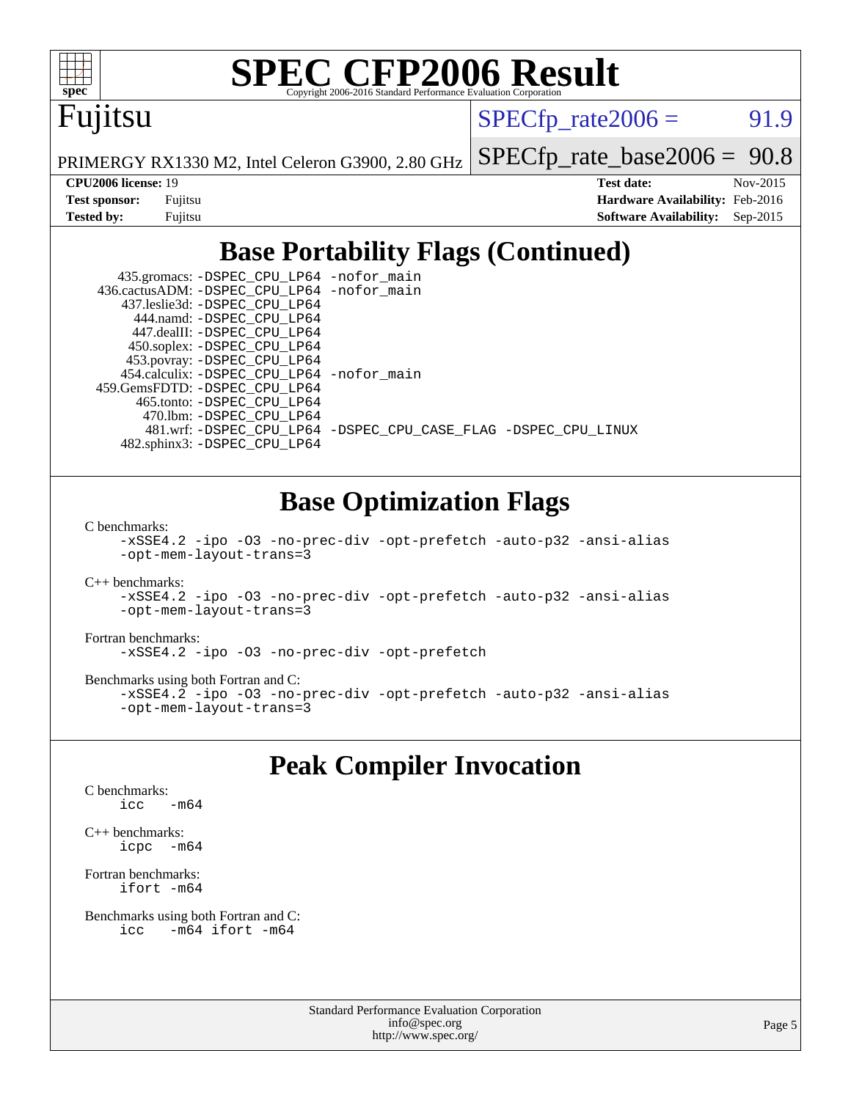

## Fujitsu

 $SPECTp\_rate2006 = 91.9$ 

PRIMERGY RX1330 M2, Intel Celeron G3900, 2.80 GHz

[SPECfp\\_rate\\_base2006 =](http://www.spec.org/auto/cpu2006/Docs/result-fields.html#SPECfpratebase2006) 90.8

| <b>Test sponsor:</b> | Fujitsu |
|----------------------|---------|
| <b>Tested by:</b>    | Fujitsu |

**[CPU2006 license:](http://www.spec.org/auto/cpu2006/Docs/result-fields.html#CPU2006license)** 19 **[Test date:](http://www.spec.org/auto/cpu2006/Docs/result-fields.html#Testdate)** Nov-2015 **[Hardware Availability:](http://www.spec.org/auto/cpu2006/Docs/result-fields.html#HardwareAvailability)** Feb-2016 **[Software Availability:](http://www.spec.org/auto/cpu2006/Docs/result-fields.html#SoftwareAvailability)** Sep-2015

### **[Base Portability Flags \(Continued\)](http://www.spec.org/auto/cpu2006/Docs/result-fields.html#BasePortabilityFlags)**

 435.gromacs: [-DSPEC\\_CPU\\_LP64](http://www.spec.org/cpu2006/results/res2016q1/cpu2006-20160111-38672.flags.html#suite_basePORTABILITY435_gromacs_DSPEC_CPU_LP64) [-nofor\\_main](http://www.spec.org/cpu2006/results/res2016q1/cpu2006-20160111-38672.flags.html#user_baseLDPORTABILITY435_gromacs_f-nofor_main) 436.cactusADM: [-DSPEC\\_CPU\\_LP64](http://www.spec.org/cpu2006/results/res2016q1/cpu2006-20160111-38672.flags.html#suite_basePORTABILITY436_cactusADM_DSPEC_CPU_LP64) [-nofor\\_main](http://www.spec.org/cpu2006/results/res2016q1/cpu2006-20160111-38672.flags.html#user_baseLDPORTABILITY436_cactusADM_f-nofor_main) 437.leslie3d: [-DSPEC\\_CPU\\_LP64](http://www.spec.org/cpu2006/results/res2016q1/cpu2006-20160111-38672.flags.html#suite_basePORTABILITY437_leslie3d_DSPEC_CPU_LP64) 444.namd: [-DSPEC\\_CPU\\_LP64](http://www.spec.org/cpu2006/results/res2016q1/cpu2006-20160111-38672.flags.html#suite_basePORTABILITY444_namd_DSPEC_CPU_LP64) 447.dealII: [-DSPEC\\_CPU\\_LP64](http://www.spec.org/cpu2006/results/res2016q1/cpu2006-20160111-38672.flags.html#suite_basePORTABILITY447_dealII_DSPEC_CPU_LP64) 450.soplex: [-DSPEC\\_CPU\\_LP64](http://www.spec.org/cpu2006/results/res2016q1/cpu2006-20160111-38672.flags.html#suite_basePORTABILITY450_soplex_DSPEC_CPU_LP64) 453.povray: [-DSPEC\\_CPU\\_LP64](http://www.spec.org/cpu2006/results/res2016q1/cpu2006-20160111-38672.flags.html#suite_basePORTABILITY453_povray_DSPEC_CPU_LP64) 454.calculix: [-DSPEC\\_CPU\\_LP64](http://www.spec.org/cpu2006/results/res2016q1/cpu2006-20160111-38672.flags.html#suite_basePORTABILITY454_calculix_DSPEC_CPU_LP64) [-nofor\\_main](http://www.spec.org/cpu2006/results/res2016q1/cpu2006-20160111-38672.flags.html#user_baseLDPORTABILITY454_calculix_f-nofor_main) 459.GemsFDTD: [-DSPEC\\_CPU\\_LP64](http://www.spec.org/cpu2006/results/res2016q1/cpu2006-20160111-38672.flags.html#suite_basePORTABILITY459_GemsFDTD_DSPEC_CPU_LP64) 465.tonto: [-DSPEC\\_CPU\\_LP64](http://www.spec.org/cpu2006/results/res2016q1/cpu2006-20160111-38672.flags.html#suite_basePORTABILITY465_tonto_DSPEC_CPU_LP64) 470.lbm: [-DSPEC\\_CPU\\_LP64](http://www.spec.org/cpu2006/results/res2016q1/cpu2006-20160111-38672.flags.html#suite_basePORTABILITY470_lbm_DSPEC_CPU_LP64) 481.wrf: [-DSPEC\\_CPU\\_LP64](http://www.spec.org/cpu2006/results/res2016q1/cpu2006-20160111-38672.flags.html#suite_basePORTABILITY481_wrf_DSPEC_CPU_LP64) [-DSPEC\\_CPU\\_CASE\\_FLAG](http://www.spec.org/cpu2006/results/res2016q1/cpu2006-20160111-38672.flags.html#b481.wrf_baseCPORTABILITY_DSPEC_CPU_CASE_FLAG) [-DSPEC\\_CPU\\_LINUX](http://www.spec.org/cpu2006/results/res2016q1/cpu2006-20160111-38672.flags.html#b481.wrf_baseCPORTABILITY_DSPEC_CPU_LINUX) 482.sphinx3: [-DSPEC\\_CPU\\_LP64](http://www.spec.org/cpu2006/results/res2016q1/cpu2006-20160111-38672.flags.html#suite_basePORTABILITY482_sphinx3_DSPEC_CPU_LP64)

#### **[Base Optimization Flags](http://www.spec.org/auto/cpu2006/Docs/result-fields.html#BaseOptimizationFlags)**

[C benchmarks](http://www.spec.org/auto/cpu2006/Docs/result-fields.html#Cbenchmarks):

[-xSSE4.2](http://www.spec.org/cpu2006/results/res2016q1/cpu2006-20160111-38672.flags.html#user_CCbase_f-xSSE42_f91528193cf0b216347adb8b939d4107) [-ipo](http://www.spec.org/cpu2006/results/res2016q1/cpu2006-20160111-38672.flags.html#user_CCbase_f-ipo) [-O3](http://www.spec.org/cpu2006/results/res2016q1/cpu2006-20160111-38672.flags.html#user_CCbase_f-O3) [-no-prec-div](http://www.spec.org/cpu2006/results/res2016q1/cpu2006-20160111-38672.flags.html#user_CCbase_f-no-prec-div) [-opt-prefetch](http://www.spec.org/cpu2006/results/res2016q1/cpu2006-20160111-38672.flags.html#user_CCbase_f-opt-prefetch) [-auto-p32](http://www.spec.org/cpu2006/results/res2016q1/cpu2006-20160111-38672.flags.html#user_CCbase_f-auto-p32) [-ansi-alias](http://www.spec.org/cpu2006/results/res2016q1/cpu2006-20160111-38672.flags.html#user_CCbase_f-ansi-alias) [-opt-mem-layout-trans=3](http://www.spec.org/cpu2006/results/res2016q1/cpu2006-20160111-38672.flags.html#user_CCbase_f-opt-mem-layout-trans_a7b82ad4bd7abf52556d4961a2ae94d5)

[C++ benchmarks:](http://www.spec.org/auto/cpu2006/Docs/result-fields.html#CXXbenchmarks)

[-xSSE4.2](http://www.spec.org/cpu2006/results/res2016q1/cpu2006-20160111-38672.flags.html#user_CXXbase_f-xSSE42_f91528193cf0b216347adb8b939d4107) [-ipo](http://www.spec.org/cpu2006/results/res2016q1/cpu2006-20160111-38672.flags.html#user_CXXbase_f-ipo) [-O3](http://www.spec.org/cpu2006/results/res2016q1/cpu2006-20160111-38672.flags.html#user_CXXbase_f-O3) [-no-prec-div](http://www.spec.org/cpu2006/results/res2016q1/cpu2006-20160111-38672.flags.html#user_CXXbase_f-no-prec-div) [-opt-prefetch](http://www.spec.org/cpu2006/results/res2016q1/cpu2006-20160111-38672.flags.html#user_CXXbase_f-opt-prefetch) [-auto-p32](http://www.spec.org/cpu2006/results/res2016q1/cpu2006-20160111-38672.flags.html#user_CXXbase_f-auto-p32) [-ansi-alias](http://www.spec.org/cpu2006/results/res2016q1/cpu2006-20160111-38672.flags.html#user_CXXbase_f-ansi-alias) [-opt-mem-layout-trans=3](http://www.spec.org/cpu2006/results/res2016q1/cpu2006-20160111-38672.flags.html#user_CXXbase_f-opt-mem-layout-trans_a7b82ad4bd7abf52556d4961a2ae94d5)

#### [Fortran benchmarks](http://www.spec.org/auto/cpu2006/Docs/result-fields.html#Fortranbenchmarks):

[-xSSE4.2](http://www.spec.org/cpu2006/results/res2016q1/cpu2006-20160111-38672.flags.html#user_FCbase_f-xSSE42_f91528193cf0b216347adb8b939d4107) [-ipo](http://www.spec.org/cpu2006/results/res2016q1/cpu2006-20160111-38672.flags.html#user_FCbase_f-ipo) [-O3](http://www.spec.org/cpu2006/results/res2016q1/cpu2006-20160111-38672.flags.html#user_FCbase_f-O3) [-no-prec-div](http://www.spec.org/cpu2006/results/res2016q1/cpu2006-20160111-38672.flags.html#user_FCbase_f-no-prec-div) [-opt-prefetch](http://www.spec.org/cpu2006/results/res2016q1/cpu2006-20160111-38672.flags.html#user_FCbase_f-opt-prefetch)

[Benchmarks using both Fortran and C](http://www.spec.org/auto/cpu2006/Docs/result-fields.html#BenchmarksusingbothFortranandC):

[-xSSE4.2](http://www.spec.org/cpu2006/results/res2016q1/cpu2006-20160111-38672.flags.html#user_CC_FCbase_f-xSSE42_f91528193cf0b216347adb8b939d4107) [-ipo](http://www.spec.org/cpu2006/results/res2016q1/cpu2006-20160111-38672.flags.html#user_CC_FCbase_f-ipo) [-O3](http://www.spec.org/cpu2006/results/res2016q1/cpu2006-20160111-38672.flags.html#user_CC_FCbase_f-O3) [-no-prec-div](http://www.spec.org/cpu2006/results/res2016q1/cpu2006-20160111-38672.flags.html#user_CC_FCbase_f-no-prec-div) [-opt-prefetch](http://www.spec.org/cpu2006/results/res2016q1/cpu2006-20160111-38672.flags.html#user_CC_FCbase_f-opt-prefetch) [-auto-p32](http://www.spec.org/cpu2006/results/res2016q1/cpu2006-20160111-38672.flags.html#user_CC_FCbase_f-auto-p32) [-ansi-alias](http://www.spec.org/cpu2006/results/res2016q1/cpu2006-20160111-38672.flags.html#user_CC_FCbase_f-ansi-alias) [-opt-mem-layout-trans=3](http://www.spec.org/cpu2006/results/res2016q1/cpu2006-20160111-38672.flags.html#user_CC_FCbase_f-opt-mem-layout-trans_a7b82ad4bd7abf52556d4961a2ae94d5)

#### **[Peak Compiler Invocation](http://www.spec.org/auto/cpu2006/Docs/result-fields.html#PeakCompilerInvocation)**

[C benchmarks](http://www.spec.org/auto/cpu2006/Docs/result-fields.html#Cbenchmarks): [icc -m64](http://www.spec.org/cpu2006/results/res2016q1/cpu2006-20160111-38672.flags.html#user_CCpeak_intel_icc_64bit_0b7121f5ab7cfabee23d88897260401c)

[C++ benchmarks:](http://www.spec.org/auto/cpu2006/Docs/result-fields.html#CXXbenchmarks) [icpc -m64](http://www.spec.org/cpu2006/results/res2016q1/cpu2006-20160111-38672.flags.html#user_CXXpeak_intel_icpc_64bit_bedb90c1146cab66620883ef4f41a67e)

[Fortran benchmarks](http://www.spec.org/auto/cpu2006/Docs/result-fields.html#Fortranbenchmarks): [ifort -m64](http://www.spec.org/cpu2006/results/res2016q1/cpu2006-20160111-38672.flags.html#user_FCpeak_intel_ifort_64bit_ee9d0fb25645d0210d97eb0527dcc06e)

```
Benchmarks using both Fortran and C: 
    icc -m64 ifort -m64
```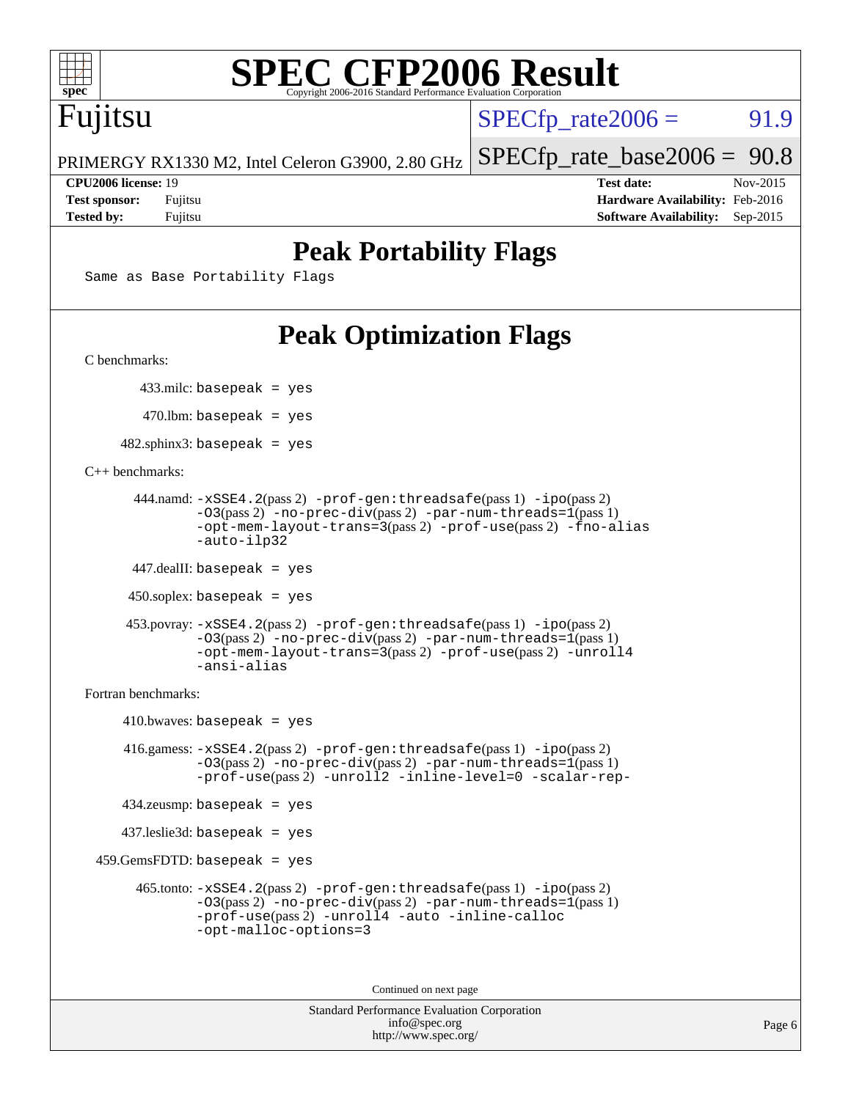

## Fujitsu

 $SPECTp\_rate2006 = 91.9$ 

PRIMERGY RX1330 M2, Intel Celeron G3900, 2.80 GHz

**[Tested by:](http://www.spec.org/auto/cpu2006/Docs/result-fields.html#Testedby)** Fujitsu **[Software Availability:](http://www.spec.org/auto/cpu2006/Docs/result-fields.html#SoftwareAvailability)** Sep-2015

[SPECfp\\_rate\\_base2006 =](http://www.spec.org/auto/cpu2006/Docs/result-fields.html#SPECfpratebase2006) 90.8 **[CPU2006 license:](http://www.spec.org/auto/cpu2006/Docs/result-fields.html#CPU2006license)** 19 **[Test date:](http://www.spec.org/auto/cpu2006/Docs/result-fields.html#Testdate)** Nov-2015 **[Test sponsor:](http://www.spec.org/auto/cpu2006/Docs/result-fields.html#Testsponsor)** Fujitsu **[Hardware Availability:](http://www.spec.org/auto/cpu2006/Docs/result-fields.html#HardwareAvailability)** Feb-2016

### **[Peak Portability Flags](http://www.spec.org/auto/cpu2006/Docs/result-fields.html#PeakPortabilityFlags)**

Same as Base Portability Flags

## **[Peak Optimization Flags](http://www.spec.org/auto/cpu2006/Docs/result-fields.html#PeakOptimizationFlags)**

[C benchmarks](http://www.spec.org/auto/cpu2006/Docs/result-fields.html#Cbenchmarks):

433.milc: basepeak = yes

470.lbm: basepeak = yes

[-ansi-alias](http://www.spec.org/cpu2006/results/res2016q1/cpu2006-20160111-38672.flags.html#user_peakCXXOPTIMIZE453_povray_f-ansi-alias)

 $482$ .sphinx3: basepeak = yes

#### [C++ benchmarks:](http://www.spec.org/auto/cpu2006/Docs/result-fields.html#CXXbenchmarks)

```
 444.namd: -xSSE4.2(pass 2) -prof-gen:threadsafe(pass 1) -ipo(pass 2)
         -O3(pass 2) -no-prec-div(pass 2) -par-num-threads=1(pass 1)
         -opt-mem-layout-trans=3(pass 2) -prof-use(pass 2) -fno-alias
         -auto-ilp32
447.dealII: basepeak = yes
450.soplex: basepeak = yes
 453.povray: -xSSE4.2(pass 2) -prof-gen:threadsafe(pass 1) -ipo(pass 2)
          -O3(pass 2) -no-prec-div(pass 2) -par-num-threads=1(pass 1)
          -opt-mem-layout-trans=3(pass 2) -prof-use(pass 2) -unroll4
```
[Fortran benchmarks](http://www.spec.org/auto/cpu2006/Docs/result-fields.html#Fortranbenchmarks):

```
410.bwaves: basepeak = yes 416.gamess: -xSSE4.2(pass 2) -prof-gen:threadsafe(pass 1) -ipo(pass 2)
             -O3(pass 2) -no-prec-div(pass 2) -par-num-threads=1(pass 1)
             -prof-use(pass 2) -unroll2 -inline-level=0 -scalar-rep-
    434.zeusmp: basepeak = yes
    437.leslie3d: basepeak = yes
 459.GemsFDTD: basepeak = yes
      465.tonto: -xSSE4.2(pass 2) -prof-gen:threadsafe(pass 1) -ipo(pass 2)
             -03(pass 2) --par-num-threads=1(pass 1)
             -prof-use(pass 2)-auto-inline-calloc
             -opt-malloc-options=3
```
Continued on next page

```
Standard Performance Evaluation Corporation
              info@spec.org
           http://www.spec.org/
```
Page 6